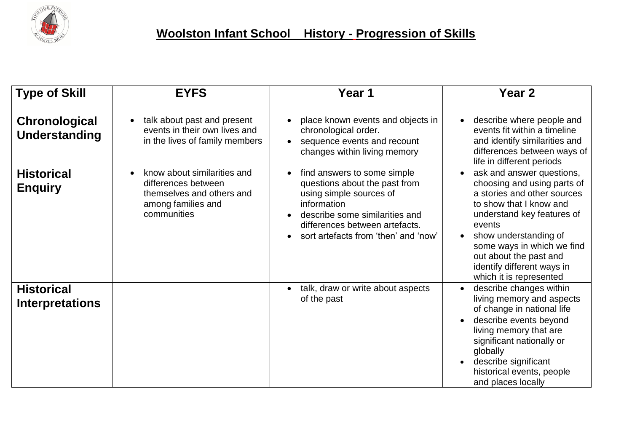

| <b>Type of Skill</b>                        | <b>EYFS</b>                                                                                                                       | Year 1                                                                                                                                                                                                             | Year <sub>2</sub>                                                                                                                                                                                                                                                                                                              |
|---------------------------------------------|-----------------------------------------------------------------------------------------------------------------------------------|--------------------------------------------------------------------------------------------------------------------------------------------------------------------------------------------------------------------|--------------------------------------------------------------------------------------------------------------------------------------------------------------------------------------------------------------------------------------------------------------------------------------------------------------------------------|
| Chronological<br>Understanding              | talk about past and present<br>$\bullet$<br>events in their own lives and<br>in the lives of family members                       | place known events and objects in<br>chronological order.<br>sequence events and recount<br>$\bullet$<br>changes within living memory                                                                              | describe where people and<br>$\bullet$<br>events fit within a timeline<br>and identify similarities and<br>differences between ways of<br>life in different periods                                                                                                                                                            |
| <b>Historical</b><br><b>Enquiry</b>         | know about similarities and<br>$\bullet$<br>differences between<br>themselves and others and<br>among families and<br>communities | find answers to some simple<br>questions about the past from<br>using simple sources of<br>information<br>describe some similarities and<br>differences between artefacts.<br>sort artefacts from 'then' and 'now' | ask and answer questions,<br>$\bullet$<br>choosing and using parts of<br>a stories and other sources<br>to show that I know and<br>understand key features of<br>events<br>show understanding of<br>$\bullet$<br>some ways in which we find<br>out about the past and<br>identify different ways in<br>which it is represented |
| <b>Historical</b><br><b>Interpretations</b> |                                                                                                                                   | talk, draw or write about aspects<br>of the past                                                                                                                                                                   | describe changes within<br>living memory and aspects<br>of change in national life<br>describe events beyond<br>living memory that are<br>significant nationally or<br>globally<br>describe significant<br>historical events, people<br>and places locally                                                                     |